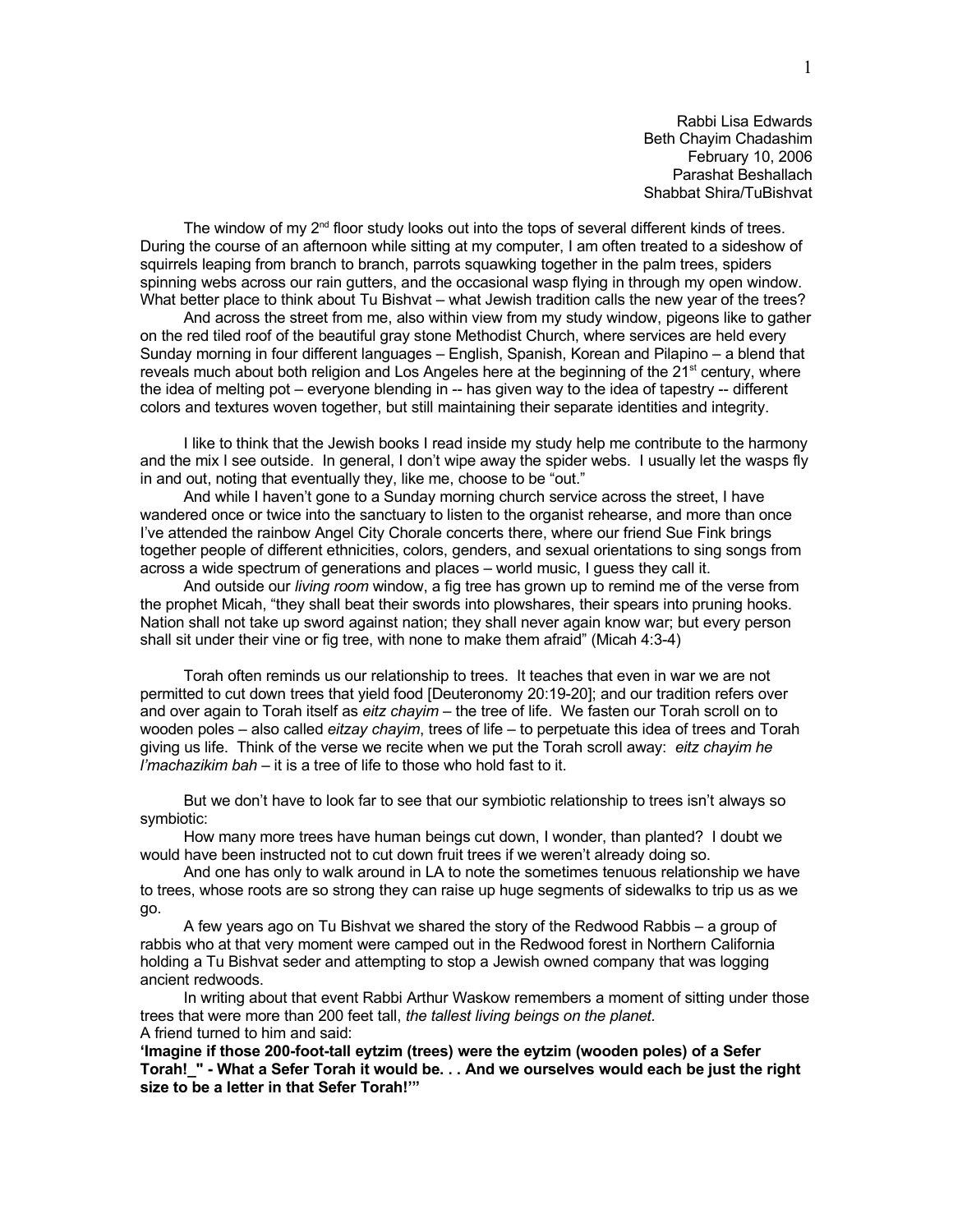Rabbi Lisa Edwards Beth Chayim Chadashim February 10, 2006 Parashat Beshallach Shabbat Shira/TuBishvat

The window of my  $2<sup>nd</sup>$  floor study looks out into the tops of several different kinds of trees. During the course of an afternoon while sitting at my computer, I am often treated to a sideshow of squirrels leaping from branch to branch, parrots squawking together in the palm trees, spiders spinning webs across our rain gutters, and the occasional wasp flying in through my open window. What better place to think about Tu Bishvat – what Jewish tradition calls the new year of the trees?

And across the street from me, also within view from my study window, pigeons like to gather on the red tiled roof of the beautiful gray stone Methodist Church, where services are held every Sunday morning in four different languages – English, Spanish, Korean and Pilapino – a blend that reveals much about both religion and Los Angeles here at the beginning of the  $21<sup>st</sup>$  century, where the idea of melting pot – everyone blending in -- has given way to the idea of tapestry -- different colors and textures woven together, but still maintaining their separate identities and integrity.

I like to think that the Jewish books I read inside my study help me contribute to the harmony and the mix I see outside. In general, I don't wipe away the spider webs. I usually let the wasps fly in and out, noting that eventually they, like me, choose to be "out."

And while I haven't gone to a Sunday morning church service across the street, I have wandered once or twice into the sanctuary to listen to the organist rehearse, and more than once I've attended the rainbow Angel City Chorale concerts there, where our friend Sue Fink brings together people of different ethnicities, colors, genders, and sexual orientations to sing songs from across a wide spectrum of generations and places – world music, I guess they call it.

And outside our *living room* window, a fig tree has grown up to remind me of the verse from the prophet Micah, "they shall beat their swords into plowshares, their spears into pruning hooks. Nation shall not take up sword against nation; they shall never again know war; but every person shall sit under their vine or fig tree, with none to make them afraid" (Micah 4:3-4)

Torah often reminds us our relationship to trees. It teaches that even in war we are not permitted to cut down trees that yield food [Deuteronomy 20:19-20]; and our tradition refers over and over again to Torah itself as *eitz chayim* – the tree of life. We fasten our Torah scroll on to wooden poles – also called *eitzay chayim*, trees of life – to perpetuate this idea of trees and Torah giving us life. Think of the verse we recite when we put the Torah scroll away: *eitz chayim he l'machazikim bah* – it is a tree of life to those who hold fast to it.

But we don't have to look far to see that our symbiotic relationship to trees isn't always so symbiotic:

How many more trees have human beings cut down, I wonder, than planted? I doubt we would have been instructed not to cut down fruit trees if we weren't already doing so.

And one has only to walk around in LA to note the sometimes tenuous relationship we have to trees, whose roots are so strong they can raise up huge segments of sidewalks to trip us as we go.

A few years ago on Tu Bishvat we shared the story of the Redwood Rabbis – a group of rabbis who at that very moment were camped out in the Redwood forest in Northern California holding a Tu Bishvat seder and attempting to stop a Jewish owned company that was logging ancient redwoods.

In writing about that event Rabbi Arthur Waskow remembers a moment of sitting under those trees that were more than 200 feet tall, *the tallest living beings on the planet.*  A friend turned to him and said:

**'Imagine if those 200-foot-tall eytzim (trees) were the eytzim (wooden poles) of a Sefer Torah!\_" - What a Sefer Torah it would be. . . And we ourselves would each be just the right size to be a letter in that Sefer Torah!'"**